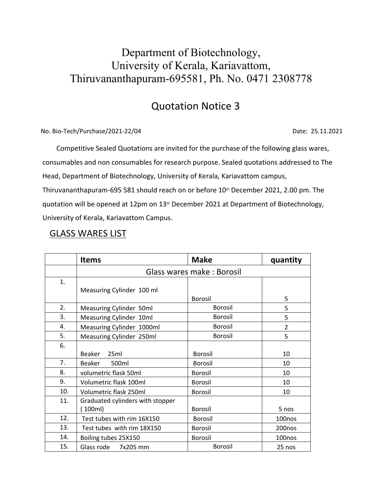## Department of Biotechnology, University of Kerala, Kariavattom, Thiruvananthapuram-695581, Ph. No. 0471 2308778

## Quotation Notice 3

No. Bio-Tech/Purchase/2021-22/04 Date: 25.11.2021

 Competitive Sealed Quotations are invited for the purchase of the following glass wares, consumables and non consumables for research purpose. Sealed quotations addressed to The Head, Department of Biotechnology, University of Kerala, Kariavattom campus, Thiruvananthapuram-695 581 should reach on or before 10<sup>th</sup> December 2021, 2.00 pm. The quotation will be opened at 12pm on 13<sup>th</sup> December 2021 at Department of Biotechnology, University of Kerala, Kariavattom Campus.

#### GLASS WARES LIST

|     | <b>Items</b>                     | <b>Make</b>    | quantity |
|-----|----------------------------------|----------------|----------|
|     | Glass wares make: Borosil        |                |          |
| 1.  | Measuring Cylinder 100 ml        |                |          |
|     |                                  | Borosil        | 5        |
| 2.  | Measuring Cylinder 50ml          | Borosil        | 5        |
| 3.  | Measuring Cylinder 10ml          | Borosil        | 5        |
| 4.  | Measuring Cylinder 1000ml        | Borosil        | 2        |
| 5.  | Measuring Cylinder 250ml         | Borosil        | 5        |
| 6.  |                                  |                |          |
|     | 25ml<br>Beaker                   | Borosil        | 10       |
| 7.  | 500ml<br>Beaker                  | Borosil        | 10       |
| 8.  | volumetric flask 50ml            | Borosil        | 10       |
| 9.  | Volumetric flask 100ml           | Borosil        | 10       |
| 10. | Volumetric flask 250ml           | Borosil        | 10       |
| 11. | Graduated cylinders with stopper |                |          |
|     | 100ml)                           | Borosil        | 5 nos    |
| 12. | Test tubes with rim 16X150       | Borosil        | 100nos   |
| 13. | Test tubes with rim 18X150       | Borosil        | 200nos   |
| 14. | Boiling tubes 25X150             | Borosil        | 100nos   |
| 15. | Glass rode<br>7x205 mm           | <b>Borosil</b> | 25 nos   |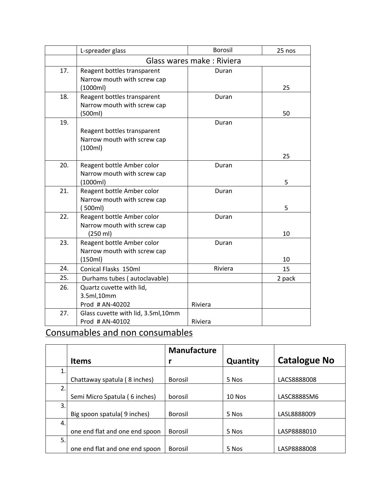|     | L-spreader glass                    | <b>Borosil</b>            | 25 nos |
|-----|-------------------------------------|---------------------------|--------|
|     |                                     | Glass wares make: Riviera |        |
| 17. | Reagent bottles transparent         | Duran                     |        |
|     | Narrow mouth with screw cap         |                           |        |
|     | (1000ml)                            |                           | 25     |
| 18. | Reagent bottles transparent         | Duran                     |        |
|     | Narrow mouth with screw cap         |                           |        |
|     | (500ml)                             |                           | 50     |
| 19. |                                     | Duran                     |        |
|     | Reagent bottles transparent         |                           |        |
|     | Narrow mouth with screw cap         |                           |        |
|     | (100ml)                             |                           | 25     |
| 20. | Reagent bottle Amber color          | Duran                     |        |
|     | Narrow mouth with screw cap         |                           |        |
|     | (1000ml)                            |                           | 5      |
| 21. | Reagent bottle Amber color          | Duran                     |        |
|     | Narrow mouth with screw cap         |                           |        |
|     | (500ml)                             |                           | 5      |
| 22. | Reagent bottle Amber color          | Duran                     |        |
|     | Narrow mouth with screw cap         |                           |        |
|     | (250 ml)                            |                           | 10     |
| 23. | Reagent bottle Amber color          | Duran                     |        |
|     | Narrow mouth with screw cap         |                           |        |
|     | (150ml)                             |                           | 10     |
| 24. | Conical Flasks 150ml                | Riviera                   | 15     |
| 25. | Durhams tubes (autoclavable)        |                           | 2 pack |
| 26. | Quartz cuvette with lid,            |                           |        |
|     | 3.5ml,10mm                          |                           |        |
|     | Prod # AN-40202                     | Riviera                   |        |
| 27. | Glass cuvette with lid, 3.5ml, 10mm |                           |        |
|     | Prod # AN-40102                     | Riviera                   |        |

# Consumables and non consumables

|    |                                | <b>Manufacture</b> |          |                     |
|----|--------------------------------|--------------------|----------|---------------------|
|    | <b>Items</b>                   |                    | Quantity | <b>Catalogue No</b> |
| 1. |                                |                    |          |                     |
|    | Chattaway spatula (8 inches)   | Borosil            | 5 Nos    | LACS8888008         |
| 2. |                                |                    |          |                     |
|    | Semi Micro Spatula (6 inches)  | borosil            | 10 Nos   | LASC8888SM6         |
| 3. |                                |                    |          |                     |
|    | Big spoon spatula(9 inches)    | Borosil            | 5 Nos    | LASL8888009         |
| 4. |                                |                    |          |                     |
|    | one end flat and one end spoon | Borosil            | 5 Nos    | LASP8888010         |
| 5. |                                |                    |          |                     |
|    | one end flat and one end spoon | Borosil            | 5 Nos    | LASP8888008         |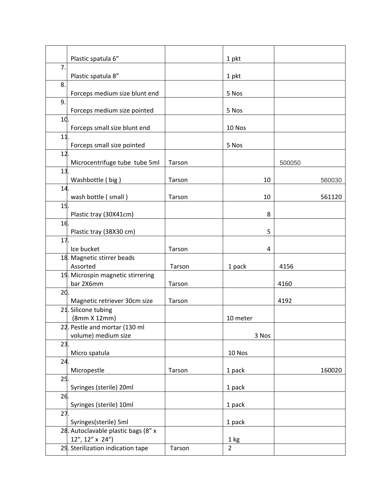|                 | Plastic spatula 6"                                     |        | 1 pkt          |        |
|-----------------|--------------------------------------------------------|--------|----------------|--------|
| 7.              | Plastic spatula 8"                                     |        | 1 pkt          |        |
| 8.              | Forceps medium size blunt end                          |        | 5 Nos          |        |
| 9.              | Forceps medium size pointed                            |        | 5 Nos          |        |
| 10.             |                                                        |        |                |        |
|                 | Forceps small size blunt end                           |        | 10 Nos         |        |
| $11$ .          | Forceps small size pointed                             |        | 5 Nos          |        |
| 12 <sub>1</sub> | Microcentrifuge tube tube 5ml                          | Tarson |                | 500050 |
| 13 <sub>1</sub> | Washbottle (big)                                       | Tarson | 10             | 560030 |
| 14.             | wash bottle (small)                                    | Tarson | 10             | 561120 |
| 15 <sub>1</sub> | Plastic tray (30X41cm)                                 |        | 8              |        |
| 16.             | Plastic tray (38X30 cm)                                |        | 5              |        |
| 17.             | Ice bucket                                             | Tarson | 4              |        |
|                 | 18. Magnetic stirrer beads<br>Assorted                 | Tarson | 1 pack         | 4156   |
|                 | 19. Microspin magnetic stirrering                      |        |                |        |
|                 | bar 2X6mm                                              | Tarson |                | 4160   |
| 20 <sub>1</sub> | Magnetic retriever 30cm size                           | Tarson |                | 4192   |
|                 | 21. Silicone tubing<br>(8mm X 12mm)                    |        | 10 meter       |        |
|                 | 22. Pestle and mortar (130 ml<br>volume) medium size   |        | 3 Nos          |        |
| 23.             | Micro spatula                                          |        | 10 Nos         |        |
| 24.             | Micropestle                                            | Tarson | 1 pack         | 160020 |
| 25.             | Syringes (sterile) 20ml                                |        | 1 pack         |        |
| 26.             | Syringes (sterile) 10ml                                |        | 1 pack         |        |
| 27.             | Syringes(sterile) 5ml                                  |        | 1 pack         |        |
|                 | 28. Autoclavable plastic bags (8" x<br>12", 12" x 24") |        | 1 kg           |        |
|                 | 29. Sterilization indication tape                      | Tarson | $\overline{2}$ |        |
|                 |                                                        |        |                |        |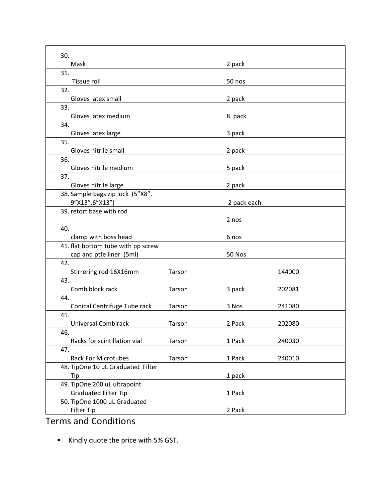| 30. |                                    |        |             |        |
|-----|------------------------------------|--------|-------------|--------|
|     | Mask                               |        | 2 pack      |        |
| 31. |                                    |        |             |        |
|     | Tissue roll                        |        | 50 nos      |        |
| 32. |                                    |        |             |        |
|     | Gloves latex small                 |        | 2 pack      |        |
| 33  |                                    |        |             |        |
|     | Gloves latex medium                |        | 8 pack      |        |
| 34. |                                    |        |             |        |
|     | Gloves latex large                 |        | 3 pack      |        |
| 35. |                                    |        |             |        |
|     | Gloves nitrile small               |        | 2 pack      |        |
| 36. |                                    |        |             |        |
|     | Gloves nitrile medium              |        | 5 pack      |        |
| 37. |                                    |        |             |        |
|     | Gloves nitrile large               |        | 2 pack      |        |
|     | 38. Sample bags zip lock (5"X8",   |        |             |        |
|     | 9"X13",6"X13")                     |        | 2 pack each |        |
|     | 39. retort base with rod           |        |             |        |
|     |                                    |        | 2 nos       |        |
| 40. |                                    |        |             |        |
|     | clamp with boss head               |        | 6 nos       |        |
|     | 41. flat bottom tube with pp screw |        |             |        |
|     | cap and ptfe liner (5ml)           |        | 50 Nos      |        |
| 42. |                                    |        |             |        |
|     | Stirrering rod 16X16mm             | Tarson |             | 144000 |
| 43  |                                    |        |             |        |
|     | Combiblock rack                    | Tarson | 3 pack      | 202081 |
| 44  |                                    |        |             |        |
|     | Conical Centrifuge Tube rack       | Tarson | 3 Nos       | 241080 |
| 45. |                                    |        |             |        |
|     | <b>Universal Combirack</b>         | Tarson | 2 Pack      | 202080 |
| 46. |                                    |        |             |        |
|     | Racks for scintillation vial       | Tarson | 1 Pack      | 240030 |
| 47. |                                    |        |             |        |
|     | <b>Rack For Microtubes</b>         | Tarson | 1 Pack      | 240010 |
|     | 48. TipOne 10 uL Graduated Filter  |        |             |        |
|     | Tip                                |        | 1 pack      |        |
|     | 49. TipOne 200 uL ultrapoint       |        |             |        |
|     | <b>Graduated Filter Tip</b>        |        | 1 Pack      |        |
|     | 50. TipOne 1000 uL Graduated       |        |             |        |
|     | Filter Tip                         |        | 2 Pack      |        |
|     |                                    |        |             |        |

## Terms and Conditions

Kindly quote the price with 5% GST.